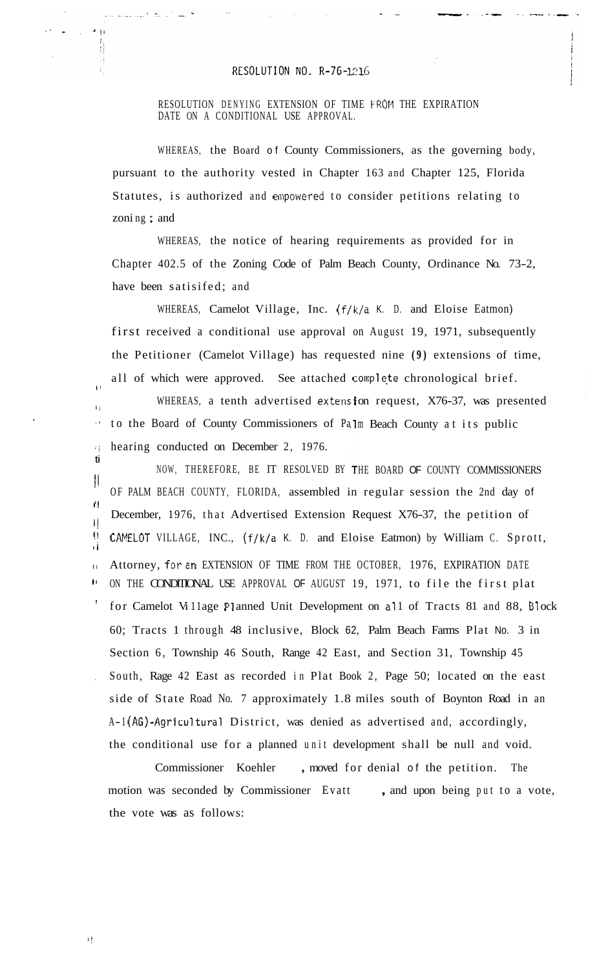## RESOLUTION NO. R-76-1216

## RESOLUTION DENYING EXTENSION OF TIME FROM THE EXPIRATION DATE ON A CONDITIONAL USE APPROVAL.

WHEREAS, the Board of County Commissioners, as the governing body, pursuant to the authority vested in Chapter 163 and Chapter 125, Florida Statutes, is authorized and empowered to consider petitions relating to zoni ng ; and

WHEREAS, the notice of hearing requirements as provided for in Chapter 402.5 of the Zoning Code of Palm Beach County, Ordinance No. 73-2, have been satisifed; and

WHEREAS, Camelot Village, Inc. (f/k/a K. D. and Eloise Eatmon) first received a conditional use approval on August 19, 1971, subsequently the Petitioner (Camelot Village) has requested nine **(9)** extensions of time, all of which were approved. See attached complete chronological brief.

WHEREAS, a tenth advertised extension request,  $X76-37$ , was presented  $\sim 1$ to the Board of County Commissioners of Palm Beach County at its public *i* hearing conducted on December 2, 1976.

NOW, THEREFORE, BE IT RESOLVED BY THE BOARD **OF** COUNTY COMMISSIONERS  $\prod_{i=1}^n$ OF PALM BEACH COUNTY, FLORIDA, assembled in regular session the 2nd day of December, 1976, that Advertised Extension Request X76-37, the petition of I! CAMELOT VILLAGE, INC., (f/k/a K. D. and Eloise Eatmon) by William C. Sprott, **ti**   $\overline{W}$  $|$ II Attorney, for an EXTENSION OF TIME FROM THE OCTOBER, 1976, EXPIRATION DATE **It** ON THE CONDITIONAL USE APPROVAL OF AUGUST 19, 1971, to file the first plat for Camelot Village Planned Unit Development on all of Tracts 81 and 88, Block 60; Tracts 1 through 48 inclusive, Block 62, Palm Beach Farms Plat No. 3 in Section 6, Township 46 South, Range 42 East, and Section 31, Township 45 South, Rage 42 East as recorded in Plat Book 2, Page 50; located on the east side of State Road No. 7 approximately 1.8 miles south of Boynton Road in an A-1 (AG)-Agricultural District, was denied as advertised and, accordingly, the conditional use for a planned unit development shall be null and void.

Commissioner Koehler , moved for denial of the petition. The motion was seconded by Commissioner Evatt, and upon being put to a vote, the vote was as follows:

ti